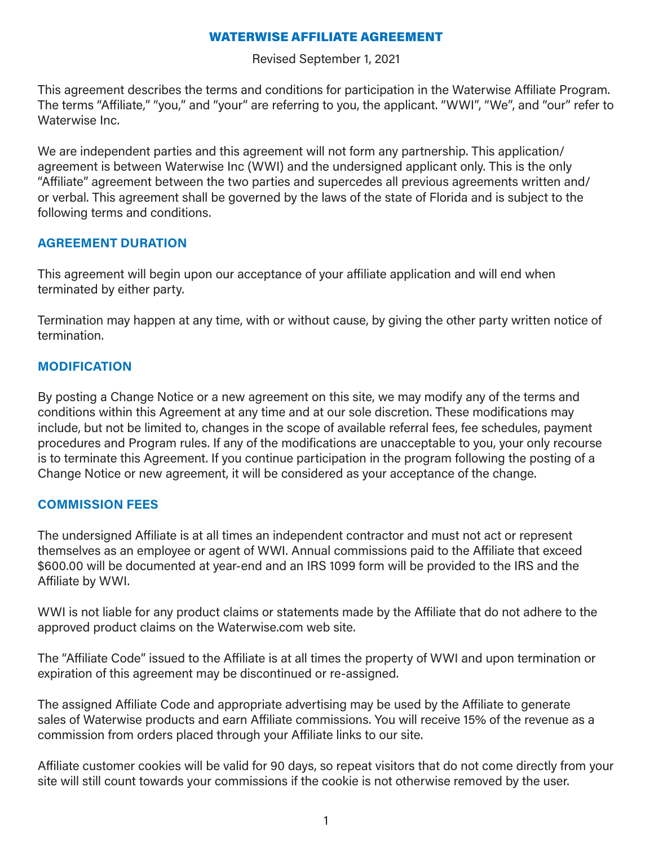#### WATERWISE AFFILIATE AGREEMENT

Revised September 1, 2021

This agreement describes the terms and conditions for participation in the Waterwise Affiliate Program. The terms "Affiliate," "you," and "your" are referring to you, the applicant. "WWI", "We", and "our" refer to Waterwise Inc.

We are independent parties and this agreement will not form any partnership. This application/ agreement is between Waterwise Inc (WWI) and the undersigned applicant only. This is the only "Affiliate" agreement between the two parties and supercedes all previous agreements written and/ or verbal. This agreement shall be governed by the laws of the state of Florida and is subject to the following terms and conditions.

### **AGREEMENT DURATION**

This agreement will begin upon our acceptance of your affiliate application and will end when terminated by either party.

Termination may happen at any time, with or without cause, by giving the other party written notice of termination.

### **MODIFICATION**

By posting a Change Notice or a new agreement on this site, we may modify any of the terms and conditions within this Agreement at any time and at our sole discretion. These modifications may include, but not be limited to, changes in the scope of available referral fees, fee schedules, payment procedures and Program rules. If any of the modifications are unacceptable to you, your only recourse is to terminate this Agreement. If you continue participation in the program following the posting of a Change Notice or new agreement, it will be considered as your acceptance of the change.

# **COMMISSION FEES**

The undersigned Affiliate is at all times an independent contractor and must not act or represent themselves as an employee or agent of WWI. Annual commissions paid to the Affiliate that exceed \$600.00 will be documented at year-end and an IRS 1099 form will be provided to the IRS and the Affiliate by WWI.

WWI is not liable for any product claims or statements made by the Affiliate that do not adhere to the approved product claims on the Waterwise.com web site.

The "Affiliate Code" issued to the Affiliate is at all times the property of WWI and upon termination or expiration of this agreement may be discontinued or re-assigned.

The assigned Affiliate Code and appropriate advertising may be used by the Affiliate to generate sales of Waterwise products and earn Affiliate commissions. You will receive 15% of the revenue as a commission from orders placed through your Affiliate links to our site.

Affiliate customer cookies will be valid for 90 days, so repeat visitors that do not come directly from your site will still count towards your commissions if the cookie is not otherwise removed by the user.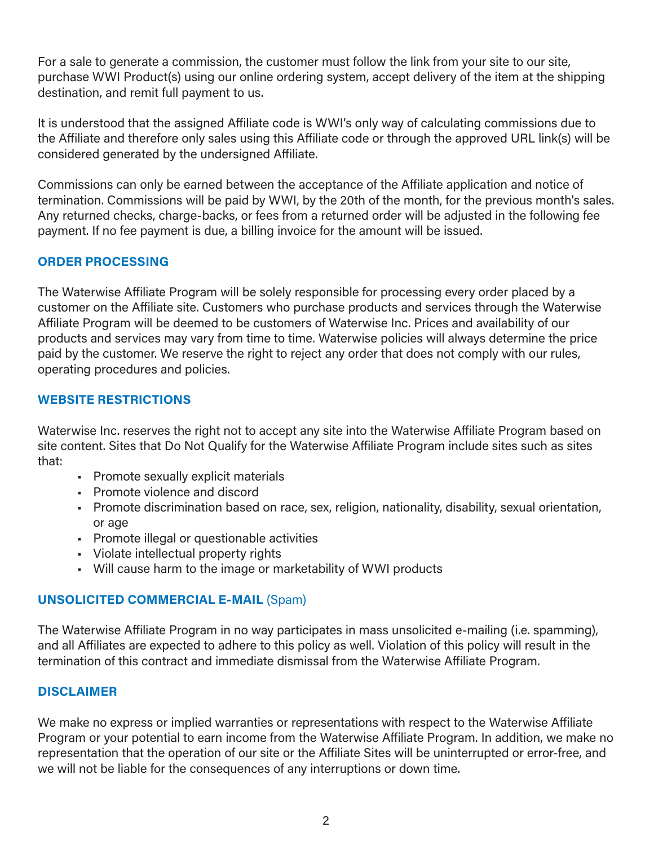For a sale to generate a commission, the customer must follow the link from your site to our site, purchase WWI Product(s) using our online ordering system, accept delivery of the item at the shipping destination, and remit full payment to us.

It is understood that the assigned Affiliate code is WWI's only way of calculating commissions due to the Affiliate and therefore only sales using this Affiliate code or through the approved URL link(s) will be considered generated by the undersigned Affiliate.

Commissions can only be earned between the acceptance of the Affiliate application and notice of termination. Commissions will be paid by WWI, by the 20th of the month, for the previous month's sales. Any returned checks, charge-backs, or fees from a returned order will be adjusted in the following fee payment. If no fee payment is due, a billing invoice for the amount will be issued.

# **ORDER PROCESSING**

The Waterwise Affiliate Program will be solely responsible for processing every order placed by a customer on the Affiliate site. Customers who purchase products and services through the Waterwise Affiliate Program will be deemed to be customers of Waterwise Inc. Prices and availability of our products and services may vary from time to time. Waterwise policies will always determine the price paid by the customer. We reserve the right to reject any order that does not comply with our rules, operating procedures and policies.

#### **WEBSITE RESTRICTIONS**

Waterwise Inc. reserves the right not to accept any site into the Waterwise Affiliate Program based on site content. Sites that Do Not Qualify for the Waterwise Affiliate Program include sites such as sites that:

- Promote sexually explicit materials
- Promote violence and discord
- Promote discrimination based on race, sex, religion, nationality, disability, sexual orientation, or age
- Promote illegal or questionable activities
- Violate intellectual property rights
- Will cause harm to the image or marketability of WWI products

# **UNSOLICITED COMMERCIAL E-MAIL** (Spam)

The Waterwise Affiliate Program in no way participates in mass unsolicited e-mailing (i.e. spamming), and all Affiliates are expected to adhere to this policy as well. Violation of this policy will result in the termination of this contract and immediate dismissal from the Waterwise Affiliate Program.

#### **DISCLAIMER**

We make no express or implied warranties or representations with respect to the Waterwise Affiliate Program or your potential to earn income from the Waterwise Affiliate Program. In addition, we make no representation that the operation of our site or the Affiliate Sites will be uninterrupted or error-free, and we will not be liable for the consequences of any interruptions or down time.